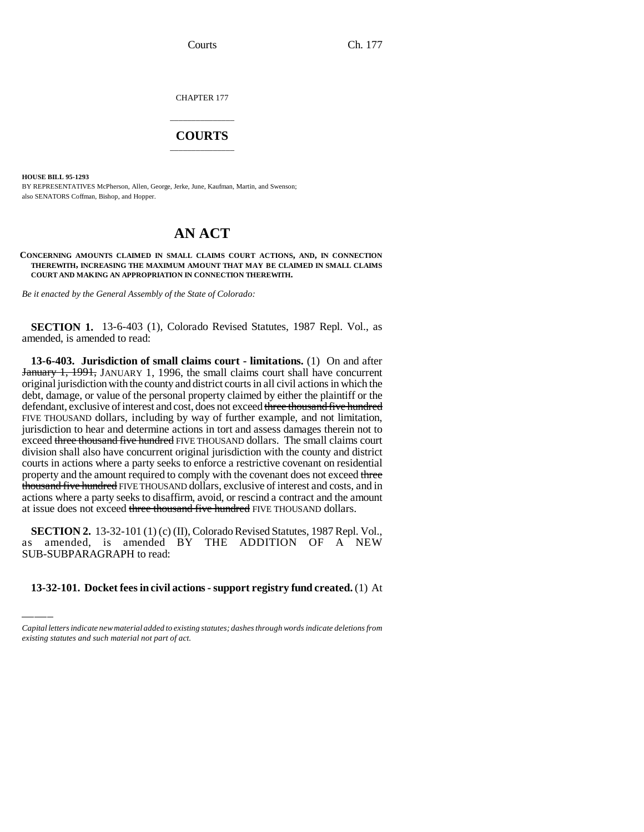CHAPTER 177

## \_\_\_\_\_\_\_\_\_\_\_\_\_\_\_ **COURTS** \_\_\_\_\_\_\_\_\_\_\_\_\_\_\_

**HOUSE BILL 95-1293**

BY REPRESENTATIVES McPherson, Allen, George, Jerke, June, Kaufman, Martin, and Swenson; also SENATORS Coffman, Bishop, and Hopper.

# **AN ACT**

**CONCERNING AMOUNTS CLAIMED IN SMALL CLAIMS COURT ACTIONS, AND, IN CONNECTION THEREWITH, INCREASING THE MAXIMUM AMOUNT THAT MAY BE CLAIMED IN SMALL CLAIMS COURT AND MAKING AN APPROPRIATION IN CONNECTION THEREWITH.**

*Be it enacted by the General Assembly of the State of Colorado:*

**SECTION 1.** 13-6-403 (1), Colorado Revised Statutes, 1987 Repl. Vol., as amended, is amended to read:

**13-6-403. Jurisdiction of small claims court - limitations.** (1) On and after January 1, 1991, JANUARY 1, 1996, the small claims court shall have concurrent original jurisdiction with the county and district courts in all civil actions in which the debt, damage, or value of the personal property claimed by either the plaintiff or the defendant, exclusive of interest and cost, does not exceed three thousand five hundred FIVE THOUSAND dollars, including by way of further example, and not limitation, jurisdiction to hear and determine actions in tort and assess damages therein not to exceed three thousand five hundred FIVE THOUSAND dollars. The small claims court division shall also have concurrent original jurisdiction with the county and district courts in actions where a party seeks to enforce a restrictive covenant on residential property and the amount required to comply with the covenant does not exceed three thousand five hundred FIVE THOUSAND dollars, exclusive of interest and costs, and in actions where a party seeks to disaffirm, avoid, or rescind a contract and the amount at issue does not exceed three thousand five hundred FIVE THOUSAND dollars.

 $\frac{\text{SECHON2: }15-52-101 \text{ (I)(C)(II), Coofadao Revisca statistics, }1767 \text{ Rep.}}{B}$  as amended, is amended BY THE ADDITION OF A NEW **SECTION 2.** 13-32-101 (1) (c) (II), Colorado Revised Statutes, 1987 Repl. Vol., SUB-SUBPARAGRAPH to read:

### **13-32-101. Docket fees in civil actions - support registry fund created.** (1) At

*Capital letters indicate new material added to existing statutes; dashes through words indicate deletions from existing statutes and such material not part of act.*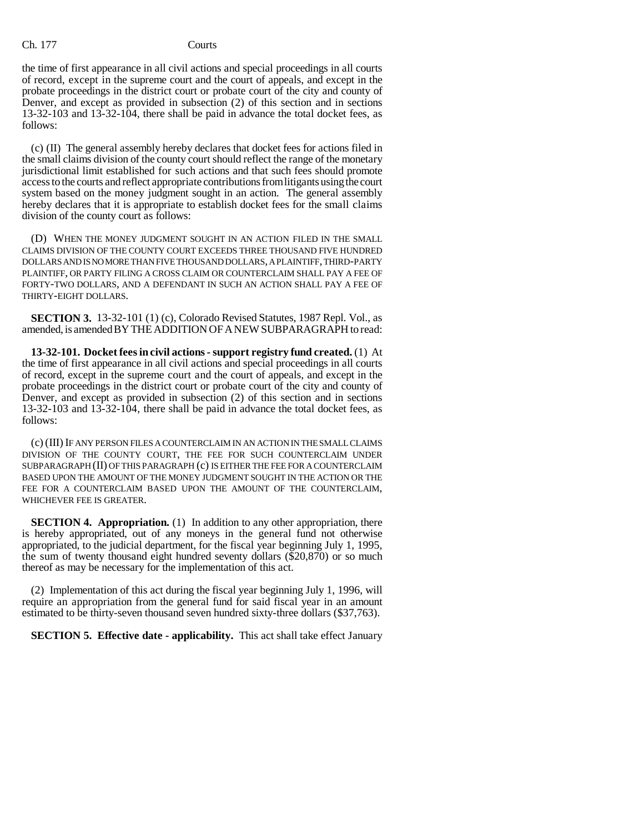#### Ch. 177 Courts

the time of first appearance in all civil actions and special proceedings in all courts of record, except in the supreme court and the court of appeals, and except in the probate proceedings in the district court or probate court of the city and county of Denver, and except as provided in subsection (2) of this section and in sections 13-32-103 and 13-32-104, there shall be paid in advance the total docket fees, as follows:

(c) (II) The general assembly hereby declares that docket fees for actions filed in the small claims division of the county court should reflect the range of the monetary jurisdictional limit established for such actions and that such fees should promote access to the courts and reflect appropriate contributions from litigants using the court system based on the money judgment sought in an action. The general assembly hereby declares that it is appropriate to establish docket fees for the small claims division of the county court as follows:

(D) WHEN THE MONEY JUDGMENT SOUGHT IN AN ACTION FILED IN THE SMALL CLAIMS DIVISION OF THE COUNTY COURT EXCEEDS THREE THOUSAND FIVE HUNDRED DOLLARS AND IS NO MORE THAN FIVE THOUSAND DOLLARS, A PLAINTIFF, THIRD-PARTY PLAINTIFF, OR PARTY FILING A CROSS CLAIM OR COUNTERCLAIM SHALL PAY A FEE OF FORTY-TWO DOLLARS, AND A DEFENDANT IN SUCH AN ACTION SHALL PAY A FEE OF THIRTY-EIGHT DOLLARS.

**SECTION 3.** 13-32-101 (1) (c), Colorado Revised Statutes, 1987 Repl. Vol., as amended, is amended BY THE ADDITION OF A NEW SUBPARAGRAPH to read:

**13-32-101. Docket fees in civil actions - support registry fund created.** (1) At the time of first appearance in all civil actions and special proceedings in all courts of record, except in the supreme court and the court of appeals, and except in the probate proceedings in the district court or probate court of the city and county of Denver, and except as provided in subsection (2) of this section and in sections 13-32-103 and 13-32-104, there shall be paid in advance the total docket fees, as follows:

(c) (III) IF ANY PERSON FILES A COUNTERCLAIM IN AN ACTION IN THE SMALL CLAIMS DIVISION OF THE COUNTY COURT, THE FEE FOR SUCH COUNTERCLAIM UNDER SUBPARAGRAPH (II) OF THIS PARAGRAPH (c) IS EITHER THE FEE FOR A COUNTERCLAIM BASED UPON THE AMOUNT OF THE MONEY JUDGMENT SOUGHT IN THE ACTION OR THE FEE FOR A COUNTERCLAIM BASED UPON THE AMOUNT OF THE COUNTERCLAIM, WHICHEVER FEE IS GREATER.

**SECTION 4. Appropriation.** (1) In addition to any other appropriation, there is hereby appropriated, out of any moneys in the general fund not otherwise appropriated, to the judicial department, for the fiscal year beginning July 1, 1995, the sum of twenty thousand eight hundred seventy dollars (\$20,870) or so much thereof as may be necessary for the implementation of this act.

(2) Implementation of this act during the fiscal year beginning July 1, 1996, will require an appropriation from the general fund for said fiscal year in an amount estimated to be thirty-seven thousand seven hundred sixty-three dollars (\$37,763).

**SECTION 5. Effective date - applicability.** This act shall take effect January